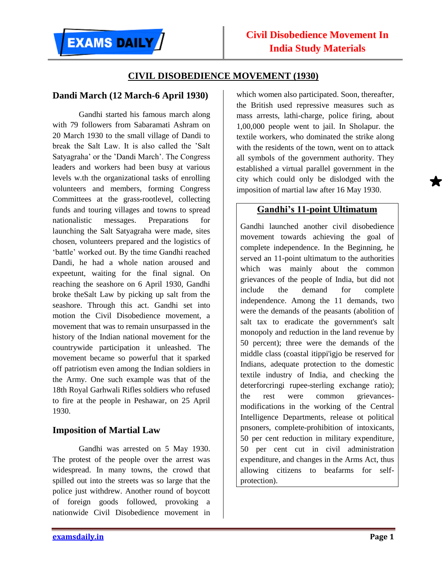### **CIVIL DISOBEDIENCE MOVEMENT (1930)**

#### **Dandi March (12 March-6 April 1930)**

Gandhi started his famous march along with 79 followers from Sabaramati Ashram on 20 March 1930 to the small village of Dandi to break the Salt Law. It is also called the 'Salt Satyagraha' or the 'Dandi March'. The Congress leaders and workers had been busy at various levels w.th the organizational tasks of enrolling volunteers and members, forming Congress Committees at the grass-rootlevel, collecting funds and touring villages and towns to spread nationalistic messages. Preparations for launching the Salt Satyagraha were made, sites chosen, volunteers prepared and the logistics of 'battle' worked out. By the time Gandhi reached Dandi, he had a whole nation aroused and expeetunt, waiting for the final signal. On reaching the seashore on 6 April 1930, Gandhi broke theSalt Law by picking up salt from the seashore. Through this act. Gandhi set into motion the Civil Disobedience movement, a movement that was to remain unsurpassed in the history of the Indian national movement for the countrywide participation it unleashed. The movement became so powerful that it sparked off patriotism even among the Indian soldiers in the Army. One such example was that of the 18th Royal Garhwali Rifles soldiers who refused to fire at the people in Peshawar, on 25 April 1930.

#### **Imposition of Martial Law**

Gandhi was arrested on 5 May 1930. The protest of the people over the arrest was widespread. In many towns, the crowd that spilled out into the streets was so large that the police just withdrew. Another round of boycott of foreign goods followed, provoking a nationwide Civil Disobedience movement in

which women also participated. Soon, thereafter, the British used repressive measures such as mass arrests, lathi-charge, police firing, about 1,00,000 people went to jail. In Sholapur. the textile workers, who dominated the strike along with the residents of the town, went on to attack all symbols of the government authority. They established a virtual parallel government in the city which could only be dislodged with the imposition of martial law after 16 May 1930.

# **Gandhi's 11-point Ultimatum**

Gandhi launched another civil disobedience movement towards achieving the goal of complete independence. In the Beginning, he served an 11-point ultimatum to the authorities which was mainly about the common grievances of the people of India, but did not include the demand for complete independence. Among the 11 demands, two were the demands of the peasants (abolition of salt tax to eradicate the government's salt monopoly and reduction in the land revenue by 50 percent); three were the demands of the middle class (coastal itippi'igjo be reserved for Indians, adequate protection to the domestic textile industry of India, and checking the deterforcringi rupee-sterling exchange ratio); the rest were common grievancesmodifications in the working of the Central Intelligence Departments, release ot political pnsoners, complete-prohibition of intoxicants, 50 per cent reduction in military expenditure, 50 per cent cut in civil administration expenditure, and changes in the Arms Act, thus allowing citizens to beafarms for selfprotection).